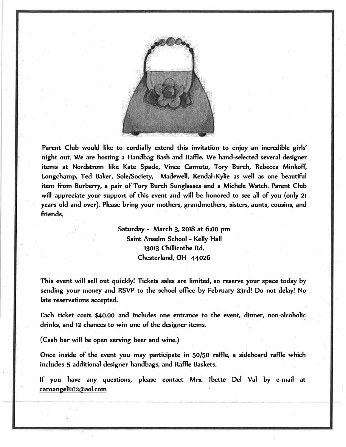

**Parent Club would like to cordially extend this invitation to enjoy an incredible girls' night out. We are hosting a Handbag Bash and Raffle. We hand-selected several designer items at Nordstrom like Kate Spade, Vince Camuto, Tory Burch, Rebecca Minkoff,**  Longchamp, Ted Baker, Sole/Society, Madewell, Kendal+Kylie as well as one beautiful **item from Burbeny, a pair of Tory Burch Sunglasses and a Michele Watch. Parent Club**  will appreciate your support of this event and will be honored to see all of you (only 21 **years old and over). Please bring your mothers, grandmothers, sisters, aunts, cousins, and friends.** 

> **Saturday - March 3, 2018 at 6:00 pm Saint Anselm School - Kelly Hall 13013 Chi11icothe Rd. Chesterland, OH 44026**

This event will sell out quickly! Tickets sales are limited, so reserve your space today by **sending your money and RSVP to the school office by February 23rd! Do not delay! No late reservations accepted.** 

**Each ticket costs \$40.00 and includes one entrance to the event, dinner, non-alcoholic drinks, and 12 chances to win one of the designer items.** 

**( Cash bar will be open serving beer and wine.)** 

**Once inside of the event you may participate in 50/50 raffle, a sideboard raffle which inc<sup>l</sup> udes 5 additional designer handbags, and Raffle Baskets.**

**Jf you have any questions, please contact Mrs. lbette Del Val by e-mail at caroange11102@aol.com**